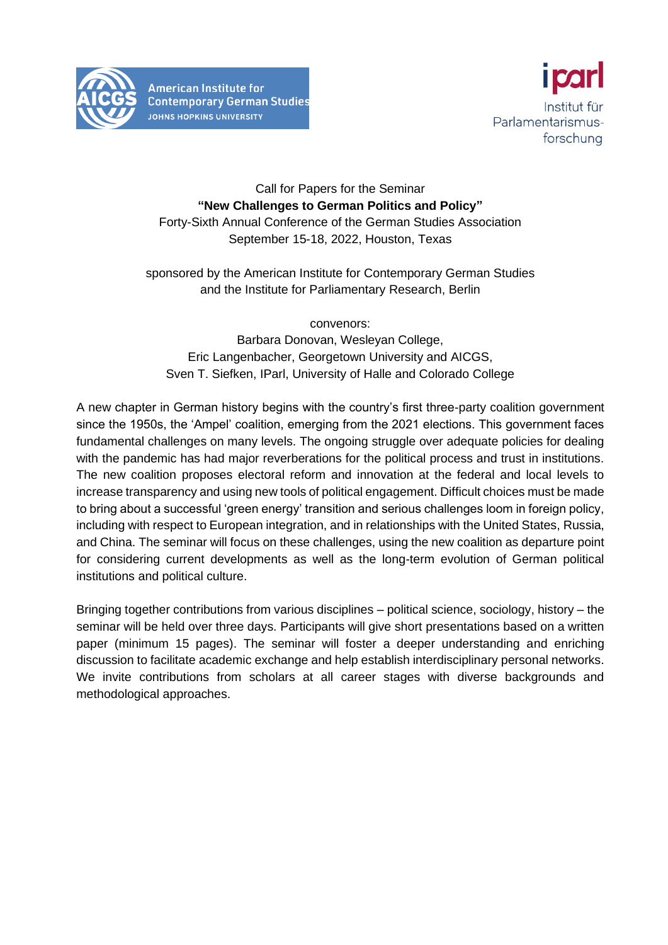

**American Institute for Contemporary German Studies JOHNS HOPKINS UNIVERSITY** 



## Call for Papers for the Seminar **"New Challenges to German Politics and Policy"** Forty-Sixth Annual Conference of the German Studies Association September 15-18, 2022, Houston, Texas

## sponsored by the American Institute for Contemporary German Studies and the Institute for Parliamentary Research, Berlin

convenors:

Barbara Donovan, Wesleyan College, Eric Langenbacher, Georgetown University and AICGS, Sven T. Siefken, IParl, University of Halle and Colorado College

A new chapter in German history begins with the country's first three-party coalition government since the 1950s, the 'Ampel' coalition, emerging from the 2021 elections. This government faces fundamental challenges on many levels. The ongoing struggle over adequate policies for dealing with the pandemic has had major reverberations for the political process and trust in institutions. The new coalition proposes electoral reform and innovation at the federal and local levels to increase transparency and using new tools of political engagement. Difficult choices must be made to bring about a successful 'green energy' transition and serious challenges loom in foreign policy, including with respect to European integration, and in relationships with the United States, Russia, and China. The seminar will focus on these challenges, using the new coalition as departure point for considering current developments as well as the long-term evolution of German political institutions and political culture.

Bringing together contributions from various disciplines – political science, sociology, history – the seminar will be held over three days. Participants will give short presentations based on a written paper (minimum 15 pages). The seminar will foster a deeper understanding and enriching discussion to facilitate academic exchange and help establish interdisciplinary personal networks. We invite contributions from scholars at all career stages with diverse backgrounds and methodological approaches.